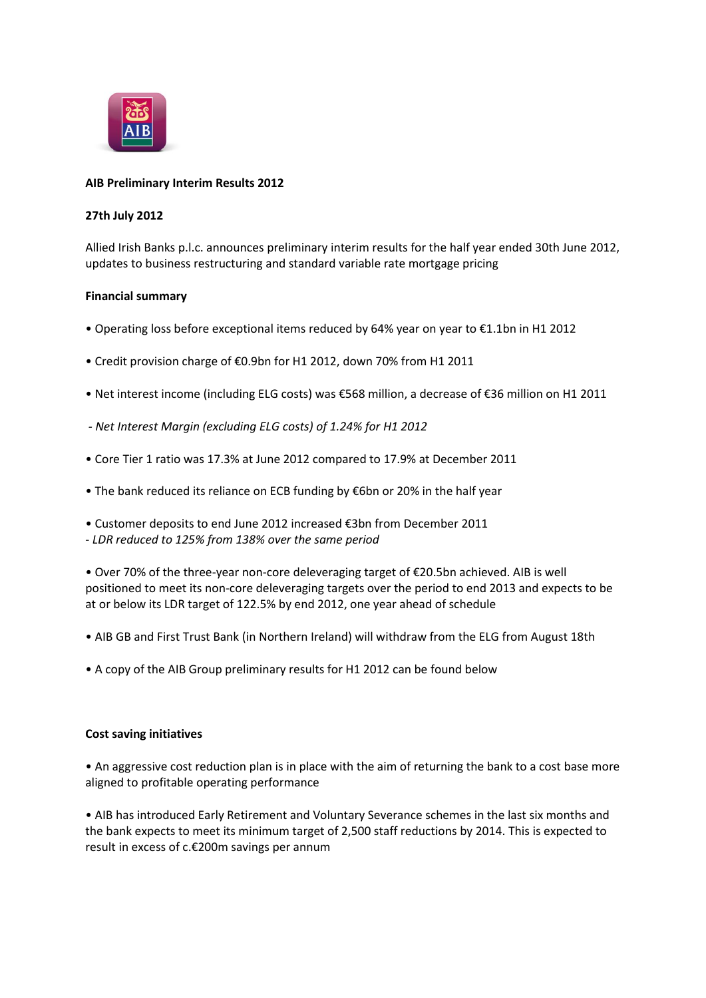

# **AIB Preliminary Interim Results 2012**

# **27th July 2012**

Allied Irish Banks p.l.c. announces preliminary interim results for the half year ended 30th June 2012, updates to business restructuring and standard variable rate mortgage pricing

## **Financial summary**

- Operating loss before exceptional items reduced by 64% year on year to €1.1bn in H1 2012
- Credit provision charge of €0.9bn for H1 2012, down 70% from H1 2011
- Net interest income (including ELG costs) was €568 million, a decrease of €36 million on H1 2011
- *- Net Interest Margin (excluding ELG costs) of 1.24% for H1 2012*
- Core Tier 1 ratio was 17.3% at June 2012 compared to 17.9% at December 2011
- The bank reduced its reliance on ECB funding by €6bn or 20% in the half year
- Customer deposits to end June 2012 increased €3bn from December 2011
- *LDR reduced to 125% from 138% over the same period*

• Over 70% of the three-year non-core deleveraging target of €20.5bn achieved. AIB is well positioned to meet its non-core deleveraging targets over the period to end 2013 and expects to be at or below its LDR target of 122.5% by end 2012, one year ahead of schedule

- AIB GB and First Trust Bank (in Northern Ireland) will withdraw from the ELG from August 18th
- A copy of the AIB Group preliminary results for H1 2012 can be found below

### **Cost saving initiatives**

• An aggressive cost reduction plan is in place with the aim of returning the bank to a cost base more aligned to profitable operating performance

• AIB has introduced Early Retirement and Voluntary Severance schemes in the last six months and the bank expects to meet its minimum target of 2,500 staff reductions by 2014. This is expected to result in excess of c.€200m savings per annum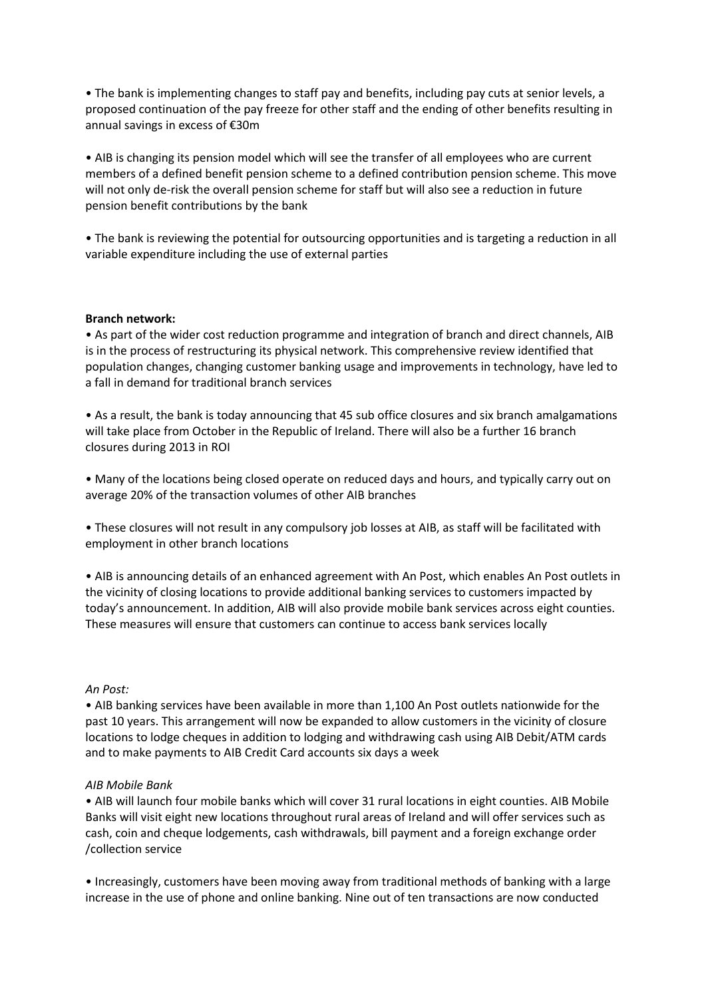• The bank is implementing changes to staff pay and benefits, including pay cuts at senior levels, a proposed continuation of the pay freeze for other staff and the ending of other benefits resulting in annual savings in excess of €30m

• AIB is changing its pension model which will see the transfer of all employees who are current members of a defined benefit pension scheme to a defined contribution pension scheme. This move will not only de-risk the overall pension scheme for staff but will also see a reduction in future pension benefit contributions by the bank

• The bank is reviewing the potential for outsourcing opportunities and is targeting a reduction in all variable expenditure including the use of external parties

### **Branch network:**

• As part of the wider cost reduction programme and integration of branch and direct channels, AIB is in the process of restructuring its physical network. This comprehensive review identified that population changes, changing customer banking usage and improvements in technology, have led to a fall in demand for traditional branch services

• As a result, the bank is today announcing that 45 sub office closures and six branch amalgamations will take place from October in the Republic of Ireland. There will also be a further 16 branch closures during 2013 in ROI

• Many of the locations being closed operate on reduced days and hours, and typically carry out on average 20% of the transaction volumes of other AIB branches

• These closures will not result in any compulsory job losses at AIB, as staff will be facilitated with employment in other branch locations

• AIB is announcing details of an enhanced agreement with An Post, which enables An Post outlets in the vicinity of closing locations to provide additional banking services to customers impacted by today's announcement. In addition, AIB will also provide mobile bank services across eight counties. These measures will ensure that customers can continue to access bank services locally

#### *An Post:*

• AIB banking services have been available in more than 1,100 An Post outlets nationwide for the past 10 years. This arrangement will now be expanded to allow customers in the vicinity of closure locations to lodge cheques in addition to lodging and withdrawing cash using AIB Debit/ATM cards and to make payments to AIB Credit Card accounts six days a week

#### *AIB Mobile Bank*

• AIB will launch four mobile banks which will cover 31 rural locations in eight counties. AIB Mobile Banks will visit eight new locations throughout rural areas of Ireland and will offer services such as cash, coin and cheque lodgements, cash withdrawals, bill payment and a foreign exchange order /collection service

• Increasingly, customers have been moving away from traditional methods of banking with a large increase in the use of phone and online banking. Nine out of ten transactions are now conducted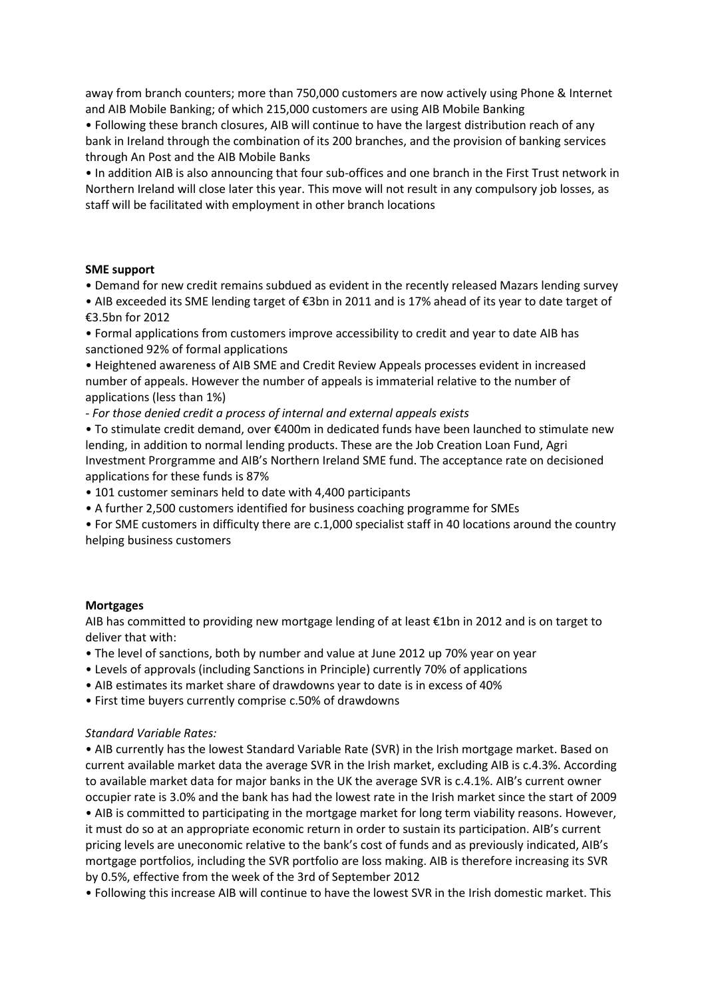away from branch counters; more than 750,000 customers are now actively using Phone & Internet and AIB Mobile Banking; of which 215,000 customers are using AIB Mobile Banking

• Following these branch closures, AIB will continue to have the largest distribution reach of any bank in Ireland through the combination of its 200 branches, and the provision of banking services through An Post and the AIB Mobile Banks

• In addition AIB is also announcing that four sub-offices and one branch in the First Trust network in Northern Ireland will close later this year. This move will not result in any compulsory job losses, as staff will be facilitated with employment in other branch locations

# **SME support**

• Demand for new credit remains subdued as evident in the recently released Mazars lending survey

• AIB exceeded its SME lending target of €3bn in 2011 and is 17% ahead of its year to date target of €3.5bn for 2012

• Formal applications from customers improve accessibility to credit and year to date AIB has sanctioned 92% of formal applications

• Heightened awareness of AIB SME and Credit Review Appeals processes evident in increased number of appeals. However the number of appeals is immaterial relative to the number of applications (less than 1%)

*- For those denied credit a process of internal and external appeals exists*

• To stimulate credit demand, over €400m in dedicated funds have been launched to stimulate new lending, in addition to normal lending products. These are the Job Creation Loan Fund, Agri Investment Prorgramme and AIB's Northern Ireland SME fund. The acceptance rate on decisioned applications for these funds is 87%

• 101 customer seminars held to date with 4,400 participants

• A further 2,500 customers identified for business coaching programme for SMEs

• For SME customers in difficulty there are c.1,000 specialist staff in 40 locations around the country helping business customers

### **Mortgages**

AIB has committed to providing new mortgage lending of at least €1bn in 2012 and is on target to deliver that with:

• The level of sanctions, both by number and value at June 2012 up 70% year on year

- Levels of approvals (including Sanctions in Principle) currently 70% of applications
- AIB estimates its market share of drawdowns year to date is in excess of 40%

• First time buyers currently comprise c.50% of drawdowns

# *Standard Variable Rates:*

• AIB currently has the lowest Standard Variable Rate (SVR) in the Irish mortgage market. Based on current available market data the average SVR in the Irish market, excluding AIB is c.4.3%. According to available market data for major banks in the UK the average SVR is c.4.1%. AIB's current owner occupier rate is 3.0% and the bank has had the lowest rate in the Irish market since the start of 2009

• AIB is committed to participating in the mortgage market for long term viability reasons. However, it must do so at an appropriate economic return in order to sustain its participation. AIB's current pricing levels are uneconomic relative to the bank's cost of funds and as previously indicated, AIB's mortgage portfolios, including the SVR portfolio are loss making. AIB is therefore increasing its SVR by 0.5%, effective from the week of the 3rd of September 2012

• Following this increase AIB will continue to have the lowest SVR in the Irish domestic market. This